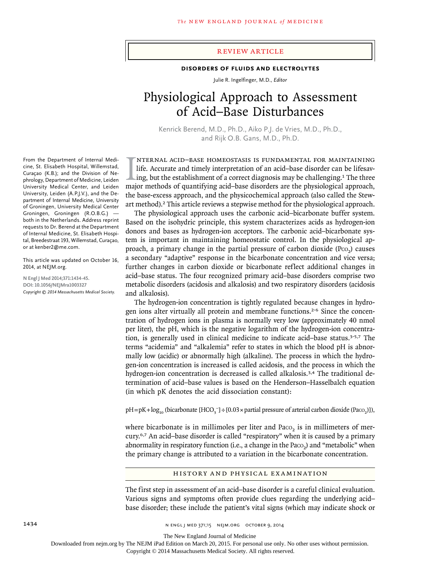# review article

# **Disorders of Fluids and Electrolytes**

Julie R. Ingelfinger, M.D., *Editor*

# Physiological Approach to Assessment of Acid–Base Disturbances

Kenrick Berend, M.D., Ph.D., Aiko P.J. de Vries, M.D., Ph.D., and Rijk O.B. Gans, M.D., Ph.D.

IMTERNAL ACID-BASE HOMEOSTASIS IS FUNDAMENTAL FOR MAINTAINING<br>life. Accurate and timely interpretation of an acid-base disorder can be lifesav-<br>ing, but the establishment of a correct diagnosis may be challenging.<sup>1</sup> The t nternal acid–base homeostasis is fundamental for maintaining life. Accurate and timely interpretation of an acid–base disorder can be lifesaving, but the establishment of a correct diagnosis may be challenging.<sup>1</sup> The three the base-excess approach, and the physicochemical approach (also called the Stewart method).2 This article reviews a stepwise method for the physiological approach.

The physiological approach uses the carbonic acid–bicarbonate buffer system. Based on the isohydric principle, this system characterizes acids as hydrogen-ion donors and bases as hydrogen-ion acceptors. The carbonic acid–bicarbonate system is important in maintaining homeostatic control. In the physiological approach, a primary change in the partial pressure of carbon dioxide  $(P_{CO_2})$  causes a secondary "adaptive" response in the bicarbonate concentration and vice versa; further changes in carbon dioxide or bicarbonate reflect additional changes in acid–base status. The four recognized primary acid–base disorders comprise two metabolic disorders (acidosis and alkalosis) and two respiratory disorders (acidosis and alkalosis).

The hydrogen-ion concentration is tightly regulated because changes in hydrogen ions alter virtually all protein and membrane functions.2-6 Since the concentration of hydrogen ions in plasma is normally very low (approximately 40 nmol per liter), the pH, which is the negative logarithm of the hydrogen-ion concentration, is generally used in clinical medicine to indicate acid–base status.3-5,7 The terms "acidemia" and "alkalemia" refer to states in which the blood pH is abnormally low (acidic) or abnormally high (alkaline). The process in which the hydrogen-ion concentration is increased is called acidosis, and the process in which the hydrogen-ion concentration is decreased is called alkalosis.<sup>3,4</sup> The traditional determination of acid–base values is based on the Henderson–Hasselbalch equation (in which pK denotes the acid dissociation constant):

pH=pK+log<sub>10</sub> (bicarbonate [HCO<sub>3</sub><sup>−</sup>]÷[0.03 × partial pressure of arterial carbon dioxide (Paco<sub>2</sub>)]),

where bicarbonate is in millimoles per liter and Paco, is in millimeters of mercury.6,7 An acid–base disorder is called "respiratory" when it is caused by a primary abnormality in respiratory function (i.e., a change in the Paco<sub>2</sub>) and "metabolic" when the primary change is attributed to a variation in the bicarbonate concentration.

#### History and Physical Examination

The first step in assessment of an acid–base disorder is a careful clinical evaluation. Various signs and symptoms often provide clues regarding the underlying acid– base disorder; these include the patient's vital signs (which may indicate shock or

From the Department of Internal Medicine, St. Elisabeth Hospital, Willemstad, Curaçao (K.B.); and the Division of Nephrology, Department of Medicine, Leiden University Medical Center, and Leiden University, Leiden (A.P.J.V.), and the Department of Internal Medicine, University of Groningen, University Medical Center Groningen, Groningen (R.O.B.G.) both in the Netherlands. Address reprint requests to Dr. Berend at the Department of Internal Medicine, St. Elisabeth Hospital, Breedestraat 193, Willemstad, Curaçao, or at kenber2@me.com.

This article was updated on October 16, 2014, at NEJM.org.

**N Engl J Med 2014;371:1434-45. DOI: 10.1056/NEJMra1003327** *Copyright © 2014 Massachusetts Medical Society.*

1434 **1434** n engl j med 371;15 Nejm.org october 9, 2014

The New England Journal of Medicine

Downloaded from nejm.org by The NEJM iPad Edition on March 20, 2015. For personal use only. No other uses without permission.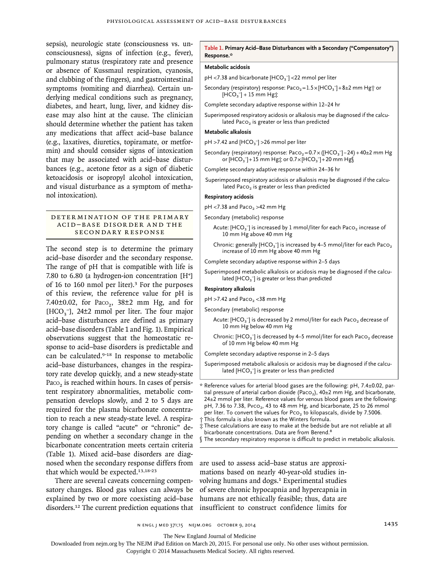sepsis), neurologic state (consciousness vs. unconsciousness), signs of infection (e.g., fever), pulmonary status (respiratory rate and presence or absence of Kussmaul respiration, cyanosis, and clubbing of the fingers), and gastrointestinal symptoms (vomiting and diarrhea). Certain underlying medical conditions such as pregnancy, diabetes, and heart, lung, liver, and kidney disease may also hint at the cause. The clinician should determine whether the patient has taken any medications that affect acid–base balance (e.g., laxatives, diuretics, topiramate, or metformin) and should consider signs of intoxication that may be associated with acid–base disturbances (e.g., acetone fetor as a sign of diabetic ketoacidosis or isopropyl alcohol intoxication, and visual disturbance as a symptom of methanol intoxication).

## DETER MINATION OF THE PRIMARY Acid –B a se Disor der a nd the Secondary Response

The second step is to determine the primary acid–base disorder and the secondary response. The range of pH that is compatible with life is 7.80 to 6.80 (a hydrogen-ion concentration [H<sup>+</sup>] of 16 to 160 nmol per liter).3 For the purposes of this review, the reference value for pH is 7.40 $\pm$ 0.02, for Paco<sub>2</sub>, 38 $\pm$ 2 mm Hg, and for [HCO<sub>3</sub><sup>-</sup>], 24±2 mmol per liter. The four major acid–base disturbances are defined as primary acid–base disorders (Table 1 and Fig. 1). Empirical observations suggest that the homeostatic response to acid–base disorders is predictable and can be calculated.<sup>9-18</sup> In response to metabolic acid–base disturbances, changes in the respiratory rate develop quickly, and a new steady-state Paco<sub>2</sub> is reached within hours. In cases of persistent respiratory abnormalities, metabolic compensation develops slowly, and 2 to 5 days are required for the plasma bicarbonate concentration to reach a new steady-state level. A respiratory change is called "acute" or "chronic" depending on whether a secondary change in the bicarbonate concentration meets certain criteria (Table 1). Mixed acid–base disorders are diagnosed when the secondary response differs from that which would be expected.<sup>13,18-23</sup>

There are several caveats concerning compensatory changes. Blood gas values can always be explained by two or more coexisting acid–base disorders.12 The current prediction equations that insufficient to construct confidence limits for

#### **Table 1. Primary Acid–Base Disturbances with a Secondary ("Compensatory") Response.\***

#### **Metabolic acidosis**

pH <7.38 and bicarbonate  $[\text{HCO}_3^-]$  <22 mmol per liter

Secondary (respiratory) response: Pac $o_2 = 1.5 \times [HCO_3^-] + 8 \pm 2$  mm Hg $\dagger$  or  $[HCO<sub>3</sub>^-] + 15$  mm Hg $\ddagger$ 

Complete secondary adaptive response within 12–24 hr

Superimposed respiratory acidosis or alkalosis may be diagnosed if the calculated Paco<sub>2</sub> is greater or less than predicted

#### **Metabolic alkalosis**

 $pH > 7.42$  and  $[HCO<sub>3</sub><sup>-</sup>] > 26$  mmol per liter

Secondary (respiratory) response: Pac $o_2 = 0.7 \times ([HCO_3^-] - 24) + 40 \pm 2$  mm Hg or  $[\hat{\mathsf{HCO}}_3^-]+15$  mm Hg‡ or 0.7 $\times$ [HCO<sub>3</sub><sup>-</sup>]+20 mm Hg $\S$ 

Complete secondary adaptive response within 24–36 hr

Superimposed respiratory acidosis or alkalosis may be diagnosed if the calculated Paco<sub>2</sub> is greater or less than predicted

## **Respiratory acidosis**

 $pH$  <7.38 and Paco<sub>2</sub> >42 mm Hg

Secondary (metabolic) response

- Acute: [HCO<sub>3</sub><sup>-</sup>] is increased by 1 mmol/liter for each Pac0<sub>2</sub> increase of 10 mm Hg above 40 mm Hg
- Chronic: generally [HCO<sub>3</sub> $\bar{\ }$ ] is increased by 4–5 mmol/liter for each Paco $_2$ increase of 10 mm Hg above 40 mm Hg

Complete secondary adaptive response within 2–5 days

Superimposed metabolic alkalosis or acidosis may be diagnosed if the calculated  $[{\text{HCO}_3}^-]$  is greater or less than predicted

#### **Respiratory alkalosis**

 $pH > 7.42$  and Paco<sub>2</sub> <38 mm Hg

Secondary (metabolic) response

- Acute: [HCO<sub>3</sub><sup>-</sup>] is decreased by 2 mmol/liter for each Pac0<sub>2</sub> decrease of 10 mm Hg below 40 mm Hg
- Chronic: [HCO<sub>3</sub><sup>-</sup>] is decreased by 4–5 mmol/liter for each Paco<sub>2</sub> decrease of 10 mm Hg below 40 mm Hg

Complete secondary adaptive response in 2–5 days

Superimposed metabolic alkalosis or acidosis may be diagnosed if the calculated [HCO $_3$  $\overline{\phantom{a}}$ ] is greater or less than predicted

‡ These calculations are easy to make at the bedside but are not reliable at all bicarbonate concentrations. Data are from Berend.<sup>8</sup>

are used to assess acid–base status are approximations based on nearly 40-year-old studies involving humans and dogs.<sup>1</sup> Experimental studies of severe chronic hypocapnia and hypercapnia in humans are not ethically feasible; thus, data are

The New England Journal of Medicine

Downloaded from nejm.org by The NEJM iPad Edition on March 20, 2015. For personal use only. No other uses without permission.

<sup>\*</sup> Reference values for arterial blood gases are the following: pH, 7.4±0.02, partial pressure of arterial carbon dioxide (Paco<sub>2</sub>), 40±2 mm Hg, and bicarbonate,  $24±2$  mmol per liter. Reference values for venous blood gases are the following: pH, 7.36 to 7.38, Pvco<sub>2</sub>, 43 to 48 mm Hg, and bicarbonate, 25 to 26 mmol per liter. To convert the values for  $PCO<sub>2</sub>$  to kilopascals, divide by 7.5006. † This formula is also known as the Winters formula.

<sup>§</sup> The secondary respiratory response is difficult to predict in metabolic alkalosis.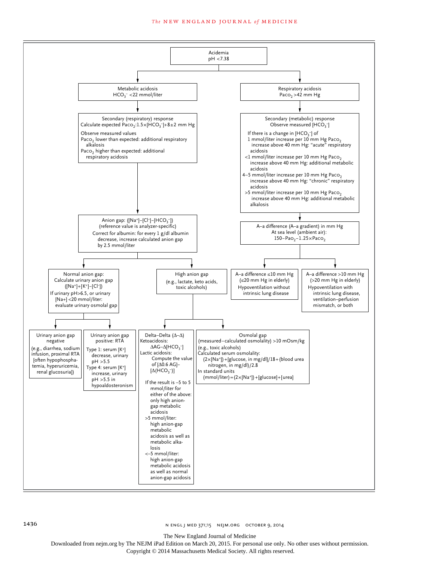#### **The NEW ENGLAND JOURNAL of MEDICINE**



The New England Journal of Medicine

Downloaded from nejm.org by The NEJM iPad Edition on March 20, 2015. For personal use only. No other uses without permission.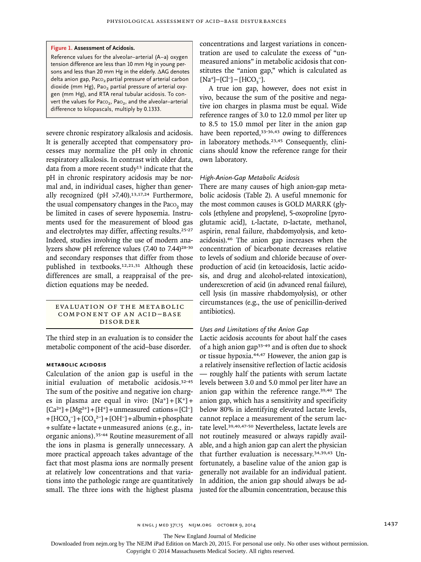#### **Figure 1. Assessment of Acidosis.**

Reference values for the alveolar–arterial (A–a) oxygen tension difference are less than 10 mm Hg in young persons and less than 20 mm Hg in the elderly. ΔAG denotes delta anion gap, Paco<sub>2</sub> partial pressure of arterial carbon dioxide (mm Hg), Pao<sub>2</sub> partial pressure of arterial oxygen (mm Hg), and RTA renal tubular acidosis. To convert the values for Paco<sub>2</sub>, Pao<sub>2</sub>, and the alveolar-arterial difference to kilopascals, multiply by 0.1333.

severe chronic respiratory alkalosis and acidosis. It is generally accepted that compensatory processes may normalize the pH only in chronic respiratory alkalosis. In contrast with older data, data from a more recent study<sup>13</sup> indicate that the pH in chronic respiratory acidosis may be normal and, in individual cases, higher than generally recognized (pH  $>7.40$ ).<sup>13,17,24</sup> Furthermore, the usual compensatory changes in the Paco, may be limited in cases of severe hypoxemia. Instruments used for the measurement of blood gas and electrolytes may differ, affecting results.25-27 Indeed, studies involving the use of modern analyzers show pH reference values  $(7.40 \text{ to } 7.44)^{28\text{-}30}$ and secondary responses that differ from those published in textbooks.12,21,31 Although these differences are small, a reappraisal of the prediction equations may be needed.

### EVALUATION OF THE METABOLIC COMPONENT OF AN ACID-BASE Disorder

The third step in an evaluation is to consider the metabolic component of the acid–base disorder.

# **Metabolic Acidosis**

Calculation of the anion gap is useful in the initial evaluation of metabolic acidosis.32-45 The sum of the positive and negative ion charges in plasma are equal in vivo:  $[Na^+] + [K^+] +$  $[Ca^{2+}] + [Mg^{2+}] + [H^+] +$ unmeasured cations= $[Cl^-]$  $+[HCO<sub>3</sub><sup>-</sup>]+[CO<sub>3</sub><sup>2-</sup>]+[OH<sup>-</sup>]+albumiin+phosphate$ +sulfate+lactate+unmeasured anions (e.g., inorganic anions).35-44 Routine measurement of all the ions in plasma is generally unnecessary. A more practical approach takes advantage of the fact that most plasma ions are normally present at relatively low concentrations and that variations into the pathologic range are quantitatively small. The three ions with the highest plasma concentrations and largest variations in concentration are used to calculate the excess of "unmeasured anions" in metabolic acidosis that constitutes the "anion gap," which is calculated as  $[Na^+] - [Cl^-] - [HCO_3^-]$ .

A true ion gap, however, does not exist in vivo, because the sum of the positive and negative ion charges in plasma must be equal. Wide reference ranges of 3.0 to 12.0 mmol per liter up to 8.5 to 15.0 mmol per liter in the anion gap have been reported,<sup>33-36,43</sup> owing to differences in laboratory methods.<sup>23,45</sup> Consequently, clinicians should know the reference range for their own laboratory.

## *High-Anion-Gap Metabolic Acidosis*

There are many causes of high anion-gap metabolic acidosis (Table 2). A useful mnemonic for the most common causes is GOLD MARRK (glycols [ethylene and propylene], 5-oxoproline [pyroglutamic acid], L-lactate, D-lactate, methanol, aspirin, renal failure, rhabdomyolysis, and ketoacidosis).46 The anion gap increases when the concentration of bicarbonate decreases relative to levels of sodium and chloride because of overproduction of acid (in ketoacidosis, lactic acidosis, and drug and alcohol-related intoxication), underexcretion of acid (in advanced renal failure), cell lysis (in massive rhabdomyolysis), or other circumstances (e.g., the use of penicillin-derived antibiotics).

# *Uses and Limitations of the Anion Gap*

Lactic acidosis accounts for about half the cases of a high anion gap<sup>33-49</sup> and is often due to shock or tissue hypoxia.44,47 However, the anion gap is a relatively insensitive reflection of lactic acidosis — roughly half the patients with serum lactate levels between 3.0 and 5.0 mmol per liter have an anion gap within the reference range.39,40 The anion gap, which has a sensitivity and specificity below 80% in identifying elevated lactate levels, cannot replace a measurement of the serum lactate level.39,40,47-50 Nevertheless, lactate levels are not routinely measured or always rapidly available, and a high anion gap can alert the physician that further evaluation is necessary.34,39,43 Unfortunately, a baseline value of the anion gap is generally not available for an individual patient. In addition, the anion gap should always be adjusted for the albumin concentration, because this

The New England Journal of Medicine

Downloaded from nejm.org by The NEJM iPad Edition on March 20, 2015. For personal use only. No other uses without permission.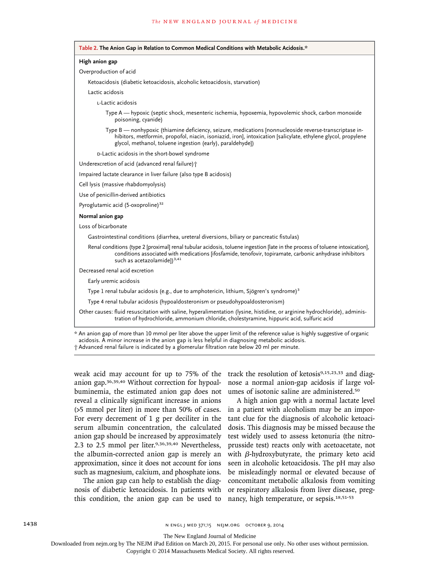| High anion gap         |                                                                                                                                                                                                                                                                                        |
|------------------------|----------------------------------------------------------------------------------------------------------------------------------------------------------------------------------------------------------------------------------------------------------------------------------------|
| Overproduction of acid |                                                                                                                                                                                                                                                                                        |
|                        | Ketoacidosis (diabetic ketoacidosis, alcoholic ketoacidosis, starvation)                                                                                                                                                                                                               |
| Lactic acidosis        |                                                                                                                                                                                                                                                                                        |
|                        | L-Lactic acidosis                                                                                                                                                                                                                                                                      |
|                        | Type A — hypoxic (septic shock, mesenteric ischemia, hypoxemia, hypovolemic shock, carbon monoxide<br>poisoning, cyanide)                                                                                                                                                              |
|                        | Type B — nonhypoxic (thiamine deficiency, seizure, medications [nonnucleoside reverse-transcriptase in-<br>hibitors, metformin, propofol, niacin, isoniazid, iron], intoxication [salicylate, ethylene glycol, propylene<br>glycol, methanol, toluene ingestion (early), paraldehyde]) |
|                        | D-Lactic acidosis in the short-bowel syndrome                                                                                                                                                                                                                                          |
|                        | Underexcretion of acid (advanced renal failure) +                                                                                                                                                                                                                                      |
|                        | Impaired lactate clearance in liver failure (also type B acidosis)                                                                                                                                                                                                                     |
|                        | Cell lysis (massive rhabdomyolysis)                                                                                                                                                                                                                                                    |
|                        | Use of penicillin-derived antibiotics                                                                                                                                                                                                                                                  |
|                        | Pyroglutamic acid (5-oxoproline) <sup>32</sup>                                                                                                                                                                                                                                         |
| Normal anion gap       |                                                                                                                                                                                                                                                                                        |
| Loss of bicarbonate    |                                                                                                                                                                                                                                                                                        |
|                        | Gastrointestinal conditions (diarrhea, ureteral diversions, biliary or pancreatic fistulas)                                                                                                                                                                                            |
|                        | Renal conditions (type 2 [proximal] renal tubular acidosis, toluene ingestion [late in the process of toluene intoxication],<br>conditions associated with medications [ifosfamide, tenofovir, topiramate, carbonic anhydrase inhibitors<br>such as acetazolamide]) <sup>3,41</sup>    |
|                        | Decreased renal acid excretion                                                                                                                                                                                                                                                         |
|                        | Early uremic acidosis                                                                                                                                                                                                                                                                  |
|                        | Type 1 renal tubular acidosis (e.g., due to amphotericin, lithium, Sjögren's syndrome) <sup>3</sup>                                                                                                                                                                                    |
|                        | Type 4 renal tubular acidosis (hypoaldosteronism or pseudohypoaldosteronism)                                                                                                                                                                                                           |
|                        | Other causes: fluid resuscitation with saline, hyperalimentation (lysine, histidine, or arginine hydrochloride), adminis-<br>tration of hydrochloride, ammonium chloride, cholestyramine, hippuric acid, sulfuric acid                                                                 |

acidosis. A minor increase in the anion gap is less helpful in diagnosing metabolic acidosis.

† Advanced renal failure is indicated by a glomerular filtration rate below 20 ml per minute.

weak acid may account for up to 75% of the anion gap.36,39,40 Without correction for hypoalbuminemia, the estimated anion gap does not reveal a clinically significant increase in anions (>5 mmol per liter) in more than 50% of cases. For every decrement of 1 g per deciliter in the serum albumin concentration, the calculated anion gap should be increased by approximately 2.3 to 2.5 mmol per liter.9,36,39,40 Nevertheless, the albumin-corrected anion gap is merely an approximation, since it does not account for ions such as magnesium, calcium, and phosphate ions.

The anion gap can help to establish the diagnosis of diabetic ketoacidosis. In patients with this condition, the anion gap can be used to track the resolution of ketosis<sup>9,15,23,33</sup> and diagnose a normal anion-gap acidosis if large volumes of isotonic saline are administered.<sup>50</sup>

A high anion gap with a normal lactate level in a patient with alcoholism may be an important clue for the diagnosis of alcoholic ketoacidosis. This diagnosis may be missed because the test widely used to assess ketonuria (the nitroprusside test) reacts only with acetoacetate, not with β-hydroxybutyrate, the primary keto acid seen in alcoholic ketoacidosis. The pH may also be misleadingly normal or elevated because of concomitant metabolic alkalosis from vomiting or respiratory alkalosis from liver disease, pregnancy, high temperature, or sepsis.18,51-53

The New England Journal of Medicine

Downloaded from nejm.org by The NEJM iPad Edition on March 20, 2015. For personal use only. No other uses without permission.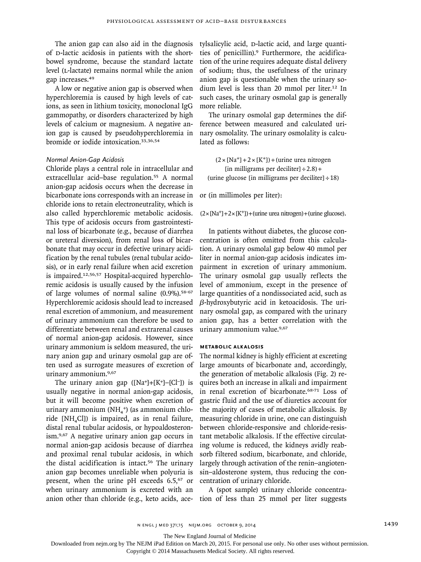The anion gap can also aid in the diagnosis of p-lactic acidosis in patients with the shortbowel syndrome, because the standard lactate level (L-lactate) remains normal while the anion gap increases.<sup>49</sup>

A low or negative anion gap is observed when hyperchloremia is caused by high levels of cations, as seen in lithium toxicity, monoclonal IgG gammopathy, or disorders characterized by high levels of calcium or magnesium. A negative anion gap is caused by pseudohyperchloremia in bromide or iodide intoxication.33,36,54

## *Normal Anion-Gap Acidosis*

Chloride plays a central role in intracellular and extracellular acid–base regulation.<sup>55</sup> A normal anion-gap acidosis occurs when the decrease in bicarbonate ions corresponds with an increase in chloride ions to retain electroneutrality, which is also called hyperchloremic metabolic acidosis. This type of acidosis occurs from gastrointestinal loss of bicarbonate (e.g., because of diarrhea or ureteral diversion), from renal loss of bicarbonate that may occur in defective urinary acidification by the renal tubules (renal tubular acidosis), or in early renal failure when acid excretion is impaired.12,56,57 Hospital-acquired hyperchloremic acidosis is usually caused by the infusion of large volumes of normal saline  $(0.9\%)$ .<sup>58-67</sup> Hyperchloremic acidosis should lead to increased renal excretion of ammonium, and measurement of urinary ammonium can therefore be used to differentiate between renal and extrarenal causes of normal anion-gap acidosis. However, since urinary ammonium is seldom measured, the urinary anion gap and urinary osmolal gap are often used as surrogate measures of excretion of urinary ammonium.9,67

The urinary anion gap  $([Na^+] + [K^+] - [Cl^-])$  is usually negative in normal anion-gap acidosis, but it will become positive when excretion of urinary ammonium (NH<sub>4</sub><sup>+</sup>) (as ammonium chloride  $[NH<sub>a</sub>Cl]$ ) is impaired, as in renal failure, distal renal tubular acidosis, or hypoaldosteronism.9,67 A negative urinary anion gap occurs in normal anion-gap acidosis because of diarrhea and proximal renal tubular acidosis, in which the distal acidification is intact.56 The urinary anion gap becomes unreliable when polyuria is present, when the urine pH exceeds 6.5,<sup>67</sup> or when urinary ammonium is excreted with an anion other than chloride (e.g., keto acids, acetylsalicylic acid, D-lactic acid, and large quantities of penicillin).9 Furthermore, the acidification of the urine requires adequate distal delivery of sodium; thus, the usefulness of the urinary anion gap is questionable when the urinary sodium level is less than 20 mmol per liter.<sup>12</sup> In such cases, the urinary osmolal gap is generally more reliable.

The urinary osmolal gap determines the difference between measured and calculated urinary osmolality. The urinary osmolality is calculated as follows:

 $(2 \times [Na^{+}] + 2 \times [K^{+}]) +$ (urine urea nitrogen [in milligrams per deciliter]  $\div$  2.8) + (urine glucose [in milligrams per deciliter]÷18)

or (in millimoles per liter):

 $(2 \times [Na^{+}] + 2 \times [K^{+}] ) + (urine$  urea nitrogen) + (urine glucose).

In patients without diabetes, the glucose concentration is often omitted from this calculation. A urinary osmolal gap below 40 mmol per liter in normal anion-gap acidosis indicates impairment in excretion of urinary ammonium. The urinary osmolal gap usually reflects the level of ammonium, except in the presence of large quantities of a nondissociated acid, such as β-hydroxybutyric acid in ketoacidosis. The urinary osmolal gap, as compared with the urinary anion gap, has a better correlation with the urinary ammonium value.<sup>9,67</sup>

#### **Metabolic Alkalosis**

The normal kidney is highly efficient at excreting large amounts of bicarbonate and, accordingly, the generation of metabolic alkalosis (Fig. 2) requires both an increase in alkali and impairment in renal excretion of bicarbonate.68-71 Loss of gastric fluid and the use of diuretics account for the majority of cases of metabolic alkalosis. By measuring chloride in urine, one can distinguish between chloride-responsive and chloride-resistant metabolic alkalosis. If the effective circulating volume is reduced, the kidneys avidly reabsorb filtered sodium, bicarbonate, and chloride, largely through activation of the renin–angiotensin–aldosterone system, thus reducing the concentration of urinary chloride.

A (spot sample) urinary chloride concentration of less than 25 mmol per liter suggests

The New England Journal of Medicine

Downloaded from nejm.org by The NEJM iPad Edition on March 20, 2015. For personal use only. No other uses without permission.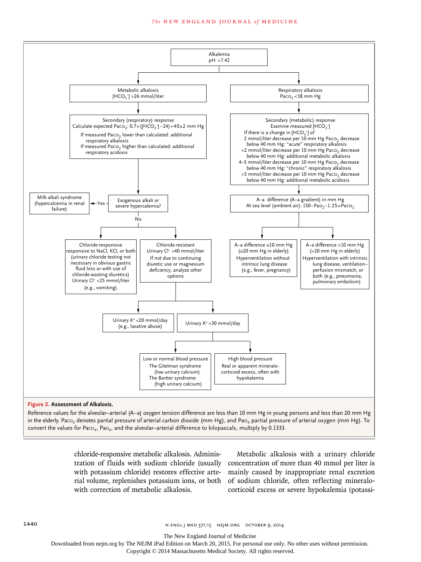#### **The NEW ENGLAND JOURNAL of MEDICINE**



Reference values for the alveolar–arterial (A–a) oxygen tension difference are less than 10 mm Hg in young persons and less than 20 mm Hg in the elderly. Paco<sub>2</sub> denotes partial pressure of arterial carbon dioxide (mm Hg), and Pao<sub>2</sub> partial pressure of arterial oxygen (mm Hg). To convert the values for Paco<sub>2</sub>, Pao<sub>2</sub>, and the alveolar–arterial difference to kilopascals, multiply by 0.1333.

> chloride-responsive metabolic alkalosis. Adminiswith correction of metabolic alkalosis.

tration of fluids with sodium chloride (usually concentration of more than 40 mmol per liter is with potassium chloride) restores effective arte-mainly caused by inappropriate renal excretion rial volume, replenishes potassium ions, or both of sodium chloride, often reflecting mineralo-Metabolic alkalosis with a urinary chloride corticoid excess or severe hypokalemia (potassi-

The New England Journal of Medicine

Downloaded from nejm.org by The NEJM iPad Edition on March 20, 2015. For personal use only. No other uses without permission.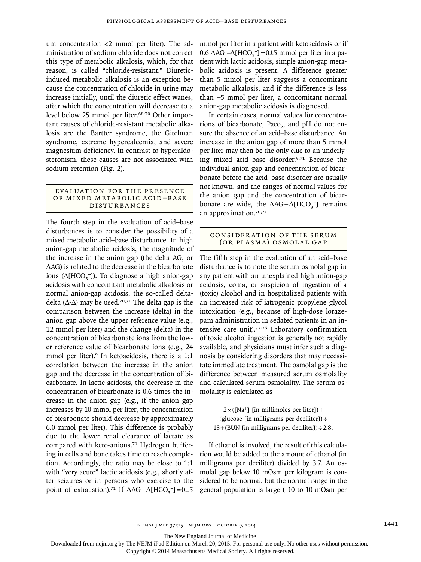um concentration <2 mmol per liter). The administration of sodium chloride does not correct this type of metabolic alkalosis, which, for that reason, is called "chloride-resistant." Diureticinduced metabolic alkalosis is an exception because the concentration of chloride in urine may increase initially, until the diuretic effect wanes, after which the concentration will decrease to a level below 25 mmol per liter.<sup>68-70</sup> Other important causes of chloride-resistant metabolic alkalosis are the Bartter syndrome, the Gitelman syndrome, extreme hypercalcemia, and severe magnesium deficiency. In contrast to hyperaldosteronism, these causes are not associated with sodium retention (Fig. 2).

## EVALUATION FOR THE PRESENCE OF MIXED METABOLIC ACID-BASE Disturbances

The fourth step in the evaluation of acid–base disturbances is to consider the possibility of a mixed metabolic acid–base disturbance. In high anion-gap metabolic acidosis, the magnitude of the increase in the anion gap (the delta AG, or ΔAG) is related to the decrease in the bicarbonate ions ( $\Delta$ [HCO<sub>3</sub><sup>-</sup>]). To diagnose a high anion-gap acidosis with concomitant metabolic alkalosis or normal anion-gap acidosis, the so-called deltadelta ( $\Delta$ - $\Delta$ ) may be used.<sup>70,71</sup> The delta gap is the comparison between the increase (delta) in the anion gap above the upper reference value (e.g., 12 mmol per liter) and the change (delta) in the concentration of bicarbonate ions from the lower reference value of bicarbonate ions (e.g., 24 mmol per liter).<sup>9</sup> In ketoacidosis, there is a 1:1 correlation between the increase in the anion gap and the decrease in the concentration of bicarbonate. In lactic acidosis*,* the decrease in the concentration of bicarbonate is 0.6 times the increase in the anion gap (e.g., if the anion gap increases by 10 mmol per liter, the concentration of bicarbonate should decrease by approximately 6.0 mmol per liter). This difference is probably due to the lower renal clearance of lactate as compared with keto-anions.71 Hydrogen buffering in cells and bone takes time to reach completion. Accordingly, the ratio may be close to 1:1 with "very acute" lactic acidosis (e.g., shortly after seizures or in persons who exercise to the point of exhaustion).<sup>71</sup> If  $\Delta AG - \Delta[HCO_3^-] = 0 \pm 5$ 

mmol per liter in a patient with ketoacidosis or if  $0.6 \triangle AG - Δ[HCO<sub>3</sub><sup>-</sup>] = 0±5 mmol per liter in a pa$ tient with lactic acidosis, simple anion-gap metabolic acidosis is present. A difference greater than 5 mmol per liter suggests a concomitant metabolic alkalosis, and if the difference is less than −5 mmol per liter, a concomitant normal anion-gap metabolic acidosis is diagnosed.

In certain cases, normal values for concentrations of bicarbonate, Paco<sub>2</sub>, and pH do not ensure the absence of an acid–base disturbance. An increase in the anion gap of more than 5 mmol per liter may then be the only clue to an underlying mixed acid–base disorder.9,71 Because the individual anion gap and concentration of bicarbonate before the acid–base disorder are usually not known, and the ranges of normal values for the anion gap and the concentration of bicarbonate are wide, the  $\Delta AG - \Delta [HCO_3^-]$  remains an approximation.70,71

# Consider ation of the Serum (or Plasma) Osmolal Gap

The fifth step in the evaluation of an acid–base disturbance is to note the serum osmolal gap in any patient with an unexplained high anion-gap acidosis, coma, or suspicion of ingestion of a (toxic) alcohol and in hospitalized patients with an increased risk of iatrogenic propylene glycol intoxication (e.g., because of high-dose lorazepam administration in sedated patients in an intensive care unit).72-76 Laboratory confirmation of toxic alcohol ingestion is generally not rapidly available, and physicians must infer such a diagnosis by considering disorders that may necessitate immediate treatment. The osmolal gap is the difference between measured serum osmolality and calculated serum osmolality. The serum osmolality is calculated as

 $2\times$  ([Na<sup>+</sup>] [in millimoles per liter]) + (glucose [in milligrams per deciliter])  $\div$  $18+(BUN)$  [in milligrams per deciliter])  $\div$  2.8.

If ethanol is involved, the result of this calculation would be added to the amount of ethanol (in milligrams per deciliter) divided by 3.7. An osmolal gap below 10 mOsm per kilogram is considered to be normal, but the normal range in the general population is large (−10 to 10 mOsm per

The New England Journal of Medicine

Downloaded from nejm.org by The NEJM iPad Edition on March 20, 2015. For personal use only. No other uses without permission.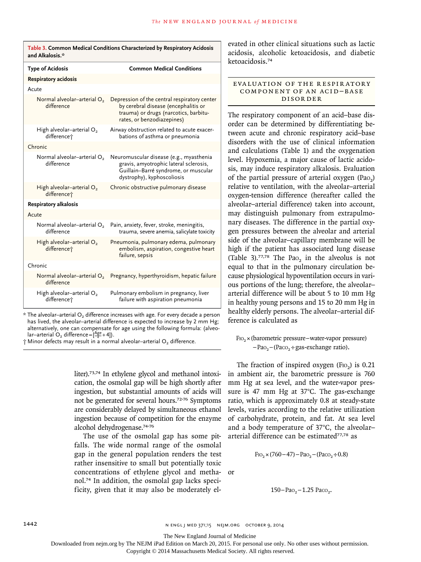| Table 3. Common Medical Conditions Characterized by Respiratory Acidosis<br>and Alkalosis.* |                                                                                                                                                                                                                              |  |  |
|---------------------------------------------------------------------------------------------|------------------------------------------------------------------------------------------------------------------------------------------------------------------------------------------------------------------------------|--|--|
| <b>Type of Acidosis</b>                                                                     | <b>Common Medical Conditions</b>                                                                                                                                                                                             |  |  |
| <b>Respiratory acidosis</b>                                                                 |                                                                                                                                                                                                                              |  |  |
| Acute                                                                                       |                                                                                                                                                                                                                              |  |  |
| Normal alveolar-arterial O <sub>2</sub><br>difference                                       | Depression of the central respiratory center<br>by cerebral disease (encephalitis or<br>trauma) or drugs (narcotics, barbitu-<br>rates, or benzodiazepines)                                                                  |  |  |
| High alveolar-arterial $O2$<br>difference <sup>+</sup>                                      | Airway obstruction related to acute exacer-<br>bations of asthma or pneumonia                                                                                                                                                |  |  |
| Chronic                                                                                     |                                                                                                                                                                                                                              |  |  |
| Normal alveolar-arterial O <sub>2</sub><br>difference                                       | Neuromuscular disease (e.g., myasthenia<br>gravis, amyotrophic lateral sclerosis,<br>Guillain-Barré syndrome, or muscular<br>dystrophy), kyphoscoliosis                                                                      |  |  |
| High alveolar-arterial $O2$<br>difference <sup>+</sup>                                      | Chronic obstructive pulmonary disease                                                                                                                                                                                        |  |  |
| <b>Respiratory alkalosis</b>                                                                |                                                                                                                                                                                                                              |  |  |
| Acute                                                                                       |                                                                                                                                                                                                                              |  |  |
| Normal alveolar-arterial O2<br>difference                                                   | Pain, anxiety, fever, stroke, meningitis,<br>trauma, severe anemia, salicylate toxicity                                                                                                                                      |  |  |
| High alveolar-arterial O <sub>2</sub><br>difference <sup>+</sup>                            | Pneumonia, pulmonary edema, pulmonary<br>embolism, aspiration, congestive heart<br>failure, sepsis                                                                                                                           |  |  |
| Chronic                                                                                     |                                                                                                                                                                                                                              |  |  |
| Normal alveolar-arterial O <sub>2</sub><br>difference                                       | Pregnancy, hyperthyroidism, hepatic failure                                                                                                                                                                                  |  |  |
| High alveolar-arterial O <sub>2</sub><br>difference <sup>+</sup>                            | Pulmonary embolism in pregnancy, liver<br>failure with aspiration pneumonia<br>$2.1$ , $\blacksquare$ , $\blacksquare$ , $\blacksquare$ , $\blacksquare$ , $\blacksquare$ , $\blacksquare$ , $\blacksquare$ , $\blacksquare$ |  |  |

 $*$  The alveolar–arterial  $O<sub>2</sub>$  difference increases with age. For every decade a person has lived, the alveolar-arterial difference is expected to increase by 2 mm Hg; alternatively, one can compensate for age using the following formula: (alveolar–arterial  $O_2$  difference =  $\left[\frac{Age}{4}+4\right]$ ).

 $\dagger$  Minor defects may result in a normal alveolar–arterial O<sub>2</sub> difference.

liter).73,74 In ethylene glycol and methanol intoxication, the osmolal gap will be high shortly after ingestion, but substantial amounts of acids will not be generated for several hours.72-76 Symptoms are considerably delayed by simultaneous ethanol ingestion because of competition for the enzyme alcohol dehydrogenase.74-76

The use of the osmolal gap has some pitfalls. The wide normal range of the osmolal gap in the general population renders the test rather insensitive to small but potentially toxic concentrations of ethylene glycol and methanol.74 In addition, the osmolal gap lacks specificity, given that it may also be moderately el-

evated in other clinical situations such as lactic acidosis, alcoholic ketoacidosis, and diabetic ketoacidosis.<sup>74</sup>

EVALUATION OF THE RESPIRATORY COMPONENT OF AN ACID-BASE Disorder

The respiratory component of an acid–base disorder can be determined by differentiating between acute and chronic respiratory acid–base disorders with the use of clinical information and calculations (Table 1) and the oxygenation level. Hypoxemia, a major cause of lactic acidosis, may induce respiratory alkalosis. Evaluation of the partial pressure of arterial oxygen  $(Pao_2)$ relative to ventilation, with the alveolar–arterial oxygen-tension difference (hereafter called the alveolar–arterial difference) taken into account, may distinguish pulmonary from extrapulmonary diseases. The difference in the partial oxygen pressures between the alveolar and arterial side of the alveolar–capillary membrane will be high if the patient has associated lung disease (Table 3).<sup>77,78</sup> The Pao<sub>2</sub> in the alveolus is not equal to that in the pulmonary circulation because physiological hypoventilation occurs in various portions of the lung; therefore, the alveolar– arterial difference will be about 5 to 10 mm Hg in healthy young persons and 15 to 20 mm Hg in healthy elderly persons. The alveolar–arterial difference is calculated as

 $F_{102} \times$ (barometric pressure–water-vapor pressure)  $-Pao<sub>2</sub>$  – (Paco<sub>2</sub> ÷ gas-exchange ratio).

The fraction of inspired oxygen  $(F_{102})$  is 0.21 in ambient air, the barometric pressure is 760 mm Hg at sea level, and the water-vapor pressure is 47 mm Hg at 37°C. The gas-exchange ratio, which is approximately 0.8 at steady-state levels, varies according to the relative utilization of carbohydrate, protein, and fat. At sea level and a body temperature of 37°C, the alveolar– arterial difference can be estimated<sup>77,78</sup> as

$$
F_{1O_2} \times (760 - 47) - Pa_{O_2} - (Pa_{O_2} \div 0.8)
$$

or

$$
150 - \mathrm{PaO}_2 - 1.25 \ \mathrm{PaCO}_2.
$$

The New England Journal of Medicine

Downloaded from nejm.org by The NEJM iPad Edition on March 20, 2015. For personal use only. No other uses without permission.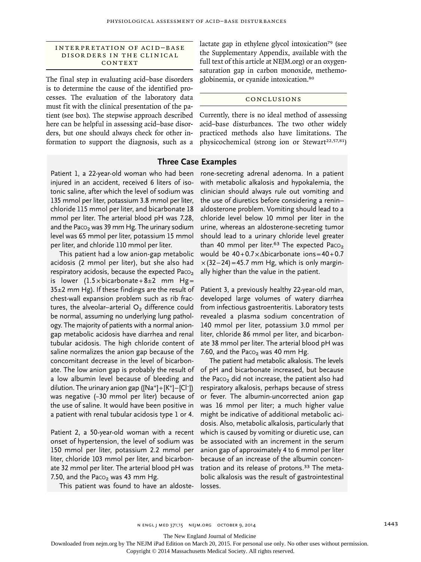## INTERPRETATION OF ACID-BASE DISORDERS IN THE CLINICAL CONTEXT

The final step in evaluating acid–base disorders is to determine the cause of the identified processes. The evaluation of the laboratory data must fit with the clinical presentation of the patient (see box). The stepwise approach described here can be helpful in assessing acid–base disorders, but one should always check for other information to support the diagnosis, such as a lactate gap in ethylene glycol intoxication<sup>79</sup> (see the Supplementary Appendix, available with the full text of this article at NEJM.org) or an oxygensaturation gap in carbon monoxide, methemoglobinemia, or cyanide intoxication.<sup>80</sup>

#### Conclusions

Currently, there is no ideal method of assessing acid–base disturbances. The two other widely practiced methods also have limitations. The physicochemical (strong ion or Stewart<sup>22,57,81</sup>)

# **Three Case Examples**

Patient 1, a 22-year-old woman who had been injured in an accident, received 6 liters of isotonic saline, after which the level of sodium was 135 mmol per liter, potassium 3.8 mmol per liter, chloride 115 mmol per liter, and bicarbonate 18 mmol per liter. The arterial blood pH was 7.28, and the Paco<sub>2</sub> was 39 mm Hg. The urinary sodium level was 65 mmol per liter, potassium 15 mmol per liter, and chloride 110 mmol per liter.

This patient had a low anion-gap metabolic acidosis (2 mmol per liter), but she also had respiratory acidosis, because the expected Paco<sub>2</sub> is lower  $(1.5 \times \text{bicarbonate} + 8 \pm 2 \text{ mm Hg} =$  $35\pm2$  mm Hg). If these findings are the result of chest-wall expansion problem such as rib fractures, the alveolar–arterial  $O<sub>2</sub>$  difference could be normal, assuming no underlying lung pathology. The majority of patients with a normal aniongap metabolic acidosis have diarrhea and renal tubular acidosis. The high chloride content of saline normalizes the anion gap because of the concomitant decrease in the level of bicarbonate. The low anion gap is probably the result of a low albumin level because of bleeding and dilution. The urinary anion gap ([Na+]+[K+]–[Cl−]) was negative (−30 mmol per liter) because of the use of saline. It would have been positive in a patient with renal tubular acidosis type 1 or 4.

Patient 2, a 50-year-old woman with a recent onset of hypertension, the level of sodium was 150 mmol per liter, potassium 2.2 mmol per liter, chloride 103 mmol per liter, and bicarbonate 32 mmol per liter. The arterial blood pH was 7.50, and the Paco<sub>2</sub> was 43 mm Hg.

This patient was found to have an aldoste-

rone-secreting adrenal adenoma. In a patient with metabolic alkalosis and hypokalemia, the clinician should always rule out vomiting and the use of diuretics before considering a renin– aldosterone problem. Vomiting should lead to a chloride level below 10 mmol per liter in the urine, whereas an aldosterone-secreting tumor should lead to a urinary chloride level greater than 40 mmol per liter.<sup>63</sup> The expected Paco<sub>2</sub> would be 40+0.7×Δbicarbonate ions=40+0.7  $\times$  (32–24) = 45.7 mm Hg, which is only marginally higher than the value in the patient.

Patient 3, a previously healthy 22-year-old man, developed large volumes of watery diarrhea from infectious gastroenteritis. Laboratory tests revealed a plasma sodium concentration of 140 mmol per liter, potassium 3.0 mmol per liter, chloride 86 mmol per liter, and bicarbonate 38 mmol per liter. The arterial blood pH was 7.60, and the Paco<sub>2</sub> was 40 mm Hg.

The patient had metabolic alkalosis. The levels of pH and bicarbonate increased, but because the Paco<sub>2</sub> did not increase, the patient also had respiratory alkalosis, perhaps because of stress or fever. The albumin-uncorrected anion gap was 16 mmol per liter; a much higher value might be indicative of additional metabolic acidosis. Also, metabolic alkalosis, particularly that which is caused by vomiting or diuretic use, can be associated with an increment in the serum anion gap of approximately 4 to 6 mmol per liter because of an increase of the albumin concentration and its release of protons.<sup>33</sup> The metabolic alkalosis was the result of gastrointestinal losses.

The New England Journal of Medicine

Downloaded from nejm.org by The NEJM iPad Edition on March 20, 2015. For personal use only. No other uses without permission.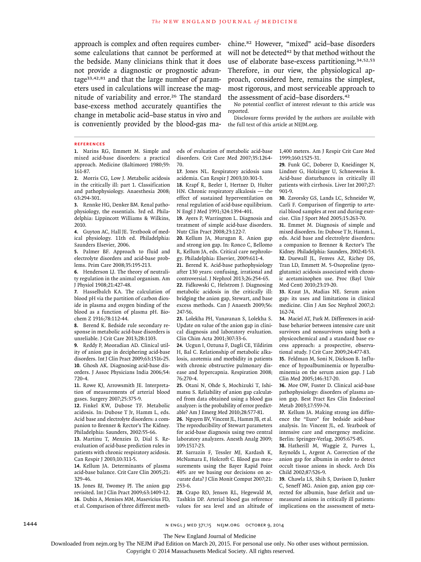approach is complex and often requires cumbersome calculations that cannot be performed at the bedside. Many clinicians think that it does not provide a diagnostic or prognostic advantage33,42,81 and that the large number of parameters used in calculations will increase the magnitude of variability and error.<sup>26</sup> The standard base-excess method accurately quantifies the change in metabolic acid–base status in vivo and is conveniently provided by the blood-gas machine.82 However, "mixed" acid–base disorders will not be detected<sup>42</sup> by that method without the use of elaborate base-excess partitioning.<sup>34,52,53</sup> Therefore, in our view, the physiological approach, considered here, remains the simplest, most rigorous, and most serviceable approach to the assessment of acid–base disorders.<sup>42</sup>

No potential conflict of interest relevant to this article was reported.

Disclosure forms provided by the authors are available with the full text of this article at NEJM.org.

#### **references**

**1.** Narins RG, Emmett M. Simple and mixed acid-base disorders: a practical approach. Medicine (Baltimore) 1980;59: 161-87.

**2.** Morris CG, Low J. Metabolic acidosis in the critically ill: part 1. Classification and pathophysiology. Anaesthesia 2008; 63:294-301.

**3.** Rennke HG, Denker BM. Renal pathophysiology, the essentials. 3rd ed. Philadelphia: Lippincott Williams & Wilkins, 2010.

**4.** Guyton AC, Hall JE. Textbook of medical physiology. 11th ed. Philadelphia: Saunders Elsevier, 2006.

**5.** Palmer BF. Approach to fluid and electrolyte disorders and acid-base problems. Prim Care 2008;35:195-213.

**6.** Henderson LJ. The theory of neutrality regulation in the animal organism. Am J Physiol 1908;21:427-48.

**7.** Hasselbalch KA. The calculation of blood pH via the partition of carbon dioxide in plasma and oxygen binding of the blood as a function of plasma pH. Biochem Z 1916;78:112-44.

**8.** Berend K. Bedside rule secondary response in metabolic acid-base disorders is unreliable. J Crit Care 2013;28:1103.

**9.** Reddy P, Mooradian AD. Clinical utility of anion gap in deciphering acid-base disorders. Int J Clin Pract 2009;63:1516-25. **10.** Ghosh AK. Diagnosing acid-base disorders. J Assoc Physicians India 2006;54: 720-4.

**11.** Rowe KJ, Arrowsmith JE. Interpretation of measurements of arterial blood gases. Surgery 2007;25:375-9.

**12.** Finkel KW, Dubose TF. Metabolic acidosis. In: Dubose T Jr, Hamm L, eds. Acid base and electrolyte disorders: a companion to Brenner & Rector's The Kidney. Philadelphia: Saunders, 2002:55-66.

**13.** Martinu T, Menzies D, Dial S. Reevaluation of acid-base prediction rules in patients with chronic respiratory acidosis. Can Respir J 2003;10:311-5.

**14.** Kellum JA. Determinants of plasma acid-base balance. Crit Care Clin 2005;21: 329-46.

**15.** Jones BJ, Twomey PJ. The anion gap revisited. Int J Clin Pract 2009;63:1409-12. **16.** Dubin A, Menises MM, Masevicius FD, et al. Comparison of three different methods of evaluation of metabolic acid-base disorders. Crit Care Med 2007;35:1264- 70.

**17.** Jones NL. Respiratory acidosis sans acidemia. Can Respir J 2003;10:301-3.

**18.** Krapf R, Beeler I, Hertner D, Hulter HN. Chronic respiratory alkalosis — the effect of sustained hyperventilation on renal regulation of acid-base equilibrium. N Engl J Med 1991;324:1394-401.

**19.** Ayers P, Warrington L. Diagnosis and treatment of simple acid-base disorders. Nutr Clin Pract 2008;23:122-7.

**20.** Kellum JA, Murugan R. Anion gap and strong ion gap. In: Ronco C, Bellomo R, Kellum JA, eds. Critical care nephrology. Philadelphia: Elsevier, 2009:611-4.

**21.** Berend K. Acid-base pathophysiology after 130 years: confusing, irrational and controversial. J Nephrol 2013;26:254-65.

**22.** Fidkowski C, Helstrom J. Diagnosing metabolic acidosis in the critically ill: bridging the anion gap, Stewart, and base excess methods. Can J Anaesth 2009;56: 247-56.

**23.** Lolekha PH, Vanavanan S, Lolekha S. Update on value of the anion gap in clinical diagnosis and laboratory evaluation. Clin Chim Acta 2001;307:33-6.

**24.** Ucgun I, Oztuna F, Dagli CE, Yildirim H, Bal C. Relationship of metabolic alkalosis, azotemia and morbidity in patients with chronic obstructive pulmonary disease and hypercapnia. Respiration 2008; 76:270-4.

**25.** Otani N, Ohde S, Mochizuki T, Ishimatsu S. Reliability of anion gap calculated from data obtained using a blood gas analyzer: is the probability of error predictable? Am J Emerg Med 2010;28:577-81.

**26.** Nguyen BV, Vincent JL, Hamm JB, et al. The reproducibility of Stewart parameters for acid-base diagnosis using two central laboratory analyzers. Anesth Analg 2009; 109:1517-23.

**27.** Sarrazin F, Tessler MJ, Kardash K, McNamara E, Holcroft C. Blood gas measurements using the Bayer Rapid Point 405: are we basing our decisions on accurate data? J Clin Monit Comput 2007;21: 253-6.

**28.** Crapo RO, Jensen RL, Hegewald M, Tashkin DP. Arterial blood gas reference values for sea level and an altitude of 1,400 meters. Am J Respir Crit Care Med 1999;160:1525-31.

**29.** Funk GC, Doberer D, Kneidinger N, Lindner G, Holzinger U, Schneeweiss B. Acid-base disturbances in critically ill patients with cirrhosis. Liver Int 2007;27: 901-9.

**30.** Zavorsky GS, Lands LC, Schneider W, Carli F. Comparison of fingertip to arterial blood samples at rest and during exercise. Clin J Sport Med 2005;15:263-70.

**31.** Emmet M. Diagnosis of simple and mixed disorders. In: Dubose T Jr, Hamm L, eds. Acid base and electrolyte disorders: a companion to Brenner & Rector's The Kidney. Philadelphia: Saunders, 2002:41-53. **32.** Duewall JL, Fenves AZ, Richey DS, Tran LD, Emmett M. 5-Oxoproline (pyroglutamic) acidosis associated with chronic acetaminophen use. Proc (Bayl Univ Med Cent) 2010;23:19-20.

**33.** Kraut JA, Madias NE. Serum anion gap: its uses and limitations in clinical medicine. Clin J Am Soc Nephrol 2007;2: 162-74.

**34.** Maciel AT, Park M. Differences in acidbase behavior between intensive care unit survivors and nonsurvivors using both a physicochemical and a standard base excess approach: a prospective, observational study. J Crit Care 2009;24:477-83.

**35.** Feldman M, Soni N, Dickson B. Influence of hypoalbuminemia or hyperalbuminemia on the serum anion gap. J Lab Clin Med 2005;146:317-20.

**36.** Moe OW, Fuster D. Clinical acid-base pathophysiology: disorders of plasma anion gap. Best Pract Res Clin Endocrinol Metab 2003;17:559-74.

**37.** Kellum JA. Making strong ion difference the "Euro" for bedside acid-base analysis. In: Vincent JL, ed. Yearbook of intensive care and emergency medicine. Berlin: Springer-Verlag, 2005:675-85.

**38.** Hatherill M, Waggie Z, Purves L, Reynolds L, Argent A. Correction of the anion gap for albumin in order to detect occult tissue anions in shock. Arch Dis Child 2002;87:526-9.

**39.** Chawla LS, Shih S, Davison D, Junker C, Seneff MG. Anion gap, anion gap corrected for albumin, base deficit and unmeasured anions in critically ill patients: implications on the assessment of meta-

1444 **1444** n engl j med j med j med 371;15 nejm.org october 9, 2014

The New England Journal of Medicine

Downloaded from nejm.org by The NEJM iPad Edition on March 20, 2015. For personal use only. No other uses without permission.